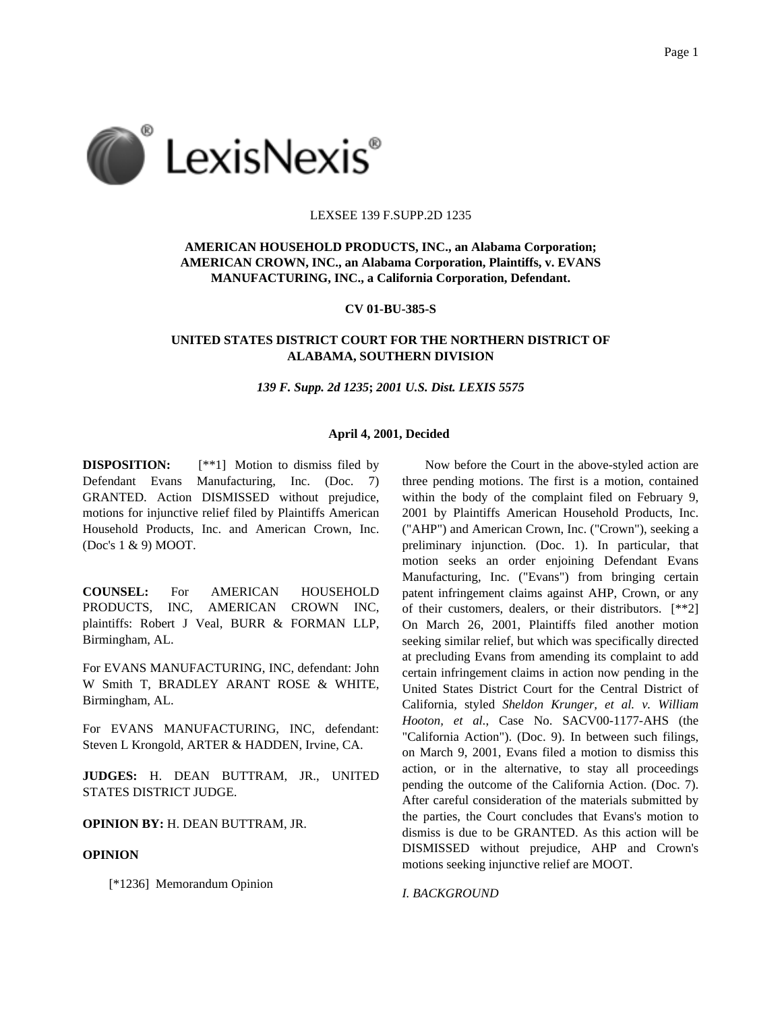

#### LEXSEE 139 F.SUPP.2D 1235

# **AMERICAN HOUSEHOLD PRODUCTS, INC., an Alabama Corporation; AMERICAN CROWN, INC., an Alabama Corporation, Plaintiffs, v. EVANS MANUFACTURING, INC., a California Corporation, Defendant.**

**CV 01-BU-385-S**

# **UNITED STATES DISTRICT COURT FOR THE NORTHERN DISTRICT OF ALABAMA, SOUTHERN DIVISION**

*139 F. Supp. 2d 1235***;** *2001 U.S. Dist. LEXIS 5575*

### **April 4, 2001, Decided**

**DISPOSITION:**  $[**1]$  Motion to dismiss filed by Defendant Evans Manufacturing, Inc. (Doc. 7) GRANTED. Action DISMISSED without prejudice, motions for injunctive relief filed by Plaintiffs American Household Products, Inc. and American Crown, Inc. (Doc's 1 & 9) MOOT.

**COUNSEL:** For AMERICAN HOUSEHOLD PRODUCTS, INC, AMERICAN CROWN INC, plaintiffs: Robert J Veal, BURR & FORMAN LLP, Birmingham, AL.

For EVANS MANUFACTURING, INC, defendant: John W Smith T, BRADLEY ARANT ROSE & WHITE, Birmingham, AL.

For EVANS MANUFACTURING, INC, defendant: Steven L Krongold, ARTER & HADDEN, Irvine, CA.

**JUDGES:** H. DEAN BUTTRAM, JR., UNITED STATES DISTRICT JUDGE.

**OPINION BY:** H. DEAN BUTTRAM, JR.

### **OPINION**

[\*1236] Memorandum Opinion

Now before the Court in the above-styled action are three pending motions. The first is a motion, contained within the body of the complaint filed on February 9, 2001 by Plaintiffs American Household Products, Inc. ("AHP") and American Crown, Inc. ("Crown"), seeking a preliminary injunction. (Doc. 1). In particular, that motion seeks an order enjoining Defendant Evans Manufacturing, Inc. ("Evans") from bringing certain patent infringement claims against AHP, Crown, or any of their customers, dealers, or their distributors. [\*\*2] On March 26, 2001, Plaintiffs filed another motion seeking similar relief, but which was specifically directed at precluding Evans from amending its complaint to add certain infringement claims in action now pending in the United States District Court for the Central District of California, styled *Sheldon Krunger, et al. v. William Hooton, et al.*, Case No. SACV00-1177-AHS (the "California Action"). (Doc. 9). In between such filings, on March 9, 2001, Evans filed a motion to dismiss this action, or in the alternative, to stay all proceedings pending the outcome of the California Action. (Doc. 7). After careful consideration of the materials submitted by the parties, the Court concludes that Evans's motion to dismiss is due to be GRANTED. As this action will be DISMISSED without prejudice, AHP and Crown's motions seeking injunctive relief are MOOT.

*I. BACKGROUND*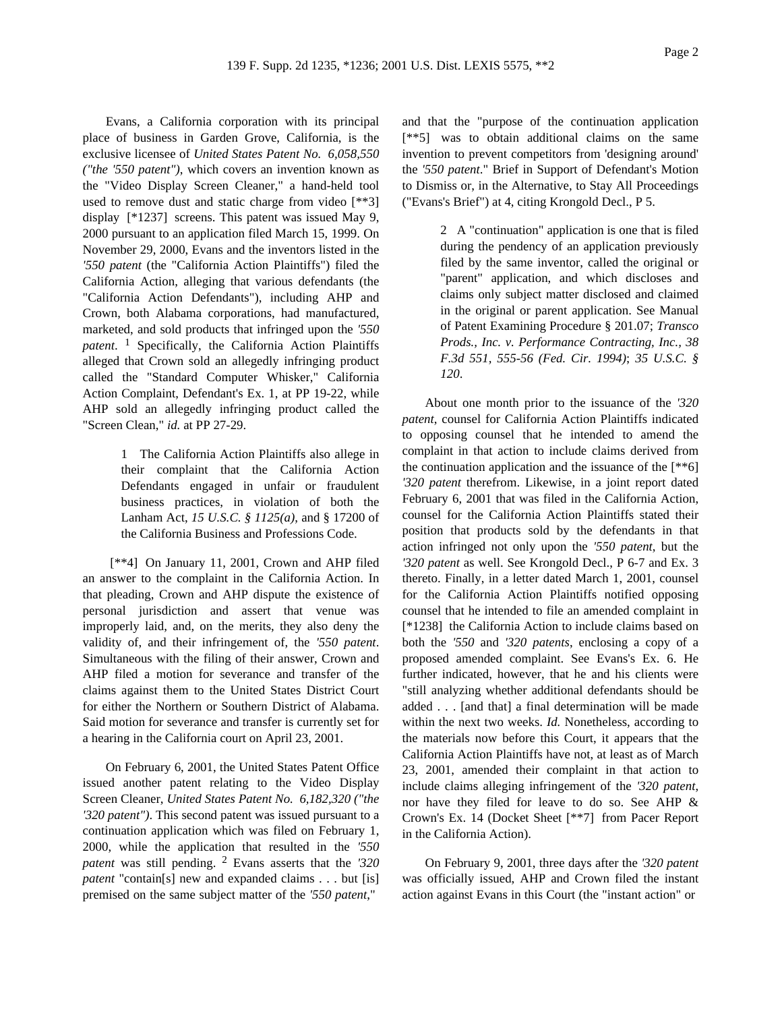Evans, a California corporation with its principal place of business in Garden Grove, California, is the exclusive licensee of *United States Patent No. 6,058,550 ("the '550 patent")*, which covers an invention known as the "Video Display Screen Cleaner," a hand-held tool used to remove dust and static charge from video [\*\*3] display [\*1237] screens. This patent was issued May 9, 2000 pursuant to an application filed March 15, 1999. On November 29, 2000, Evans and the inventors listed in the *'550 patent* (the "California Action Plaintiffs") filed the California Action, alleging that various defendants (the "California Action Defendants"), including AHP and Crown, both Alabama corporations, had manufactured, marketed, and sold products that infringed upon the *'550 patent*. 1 Specifically, the California Action Plaintiffs alleged that Crown sold an allegedly infringing product called the "Standard Computer Whisker," California Action Complaint, Defendant's Ex. 1, at PP 19-22, while AHP sold an allegedly infringing product called the "Screen Clean," *id.* at PP 27-29.

> 1 The California Action Plaintiffs also allege in their complaint that the California Action Defendants engaged in unfair or fraudulent business practices, in violation of both the Lanham Act, *15 U.S.C. § 1125(a)*, and § 17200 of the California Business and Professions Code.

[\*\*4] On January 11, 2001, Crown and AHP filed an answer to the complaint in the California Action. In that pleading, Crown and AHP dispute the existence of personal jurisdiction and assert that venue was improperly laid, and, on the merits, they also deny the validity of, and their infringement of, the *'550 patent*. Simultaneous with the filing of their answer, Crown and AHP filed a motion for severance and transfer of the claims against them to the United States District Court for either the Northern or Southern District of Alabama. Said motion for severance and transfer is currently set for a hearing in the California court on April 23, 2001.

On February 6, 2001, the United States Patent Office issued another patent relating to the Video Display Screen Cleaner, *United States Patent No. 6,182,320 ("the '320 patent")*. This second patent was issued pursuant to a continuation application which was filed on February 1, 2000, while the application that resulted in the *'550 patent* was still pending. 2 Evans asserts that the *'320 patent* "contain[s] new and expanded claims . . . but [is] premised on the same subject matter of the *'550 patent*,"

and that the "purpose of the continuation application [\*\*5] was to obtain additional claims on the same invention to prevent competitors from 'designing around' the *'550 patent*." Brief in Support of Defendant's Motion to Dismiss or, in the Alternative, to Stay All Proceedings ("Evans's Brief") at 4, citing Krongold Decl., P 5.

> 2 A "continuation" application is one that is filed during the pendency of an application previously filed by the same inventor, called the original or "parent" application, and which discloses and claims only subject matter disclosed and claimed in the original or parent application. See Manual of Patent Examining Procedure § 201.07; *Transco Prods., Inc. v. Performance Contracting, Inc., 38 F.3d 551, 555-56 (Fed. Cir. 1994)*; *35 U.S.C. § 120*.

About one month prior to the issuance of the *'320 patent*, counsel for California Action Plaintiffs indicated to opposing counsel that he intended to amend the complaint in that action to include claims derived from the continuation application and the issuance of the [\*\*6] *'320 patent* therefrom. Likewise, in a joint report dated February 6, 2001 that was filed in the California Action, counsel for the California Action Plaintiffs stated their position that products sold by the defendants in that action infringed not only upon the *'550 patent*, but the *'320 patent* as well. See Krongold Decl., P 6-7 and Ex. 3 thereto. Finally, in a letter dated March 1, 2001, counsel for the California Action Plaintiffs notified opposing counsel that he intended to file an amended complaint in [\*1238] the California Action to include claims based on both the *'550* and *'320 patents*, enclosing a copy of a proposed amended complaint. See Evans's Ex. 6. He further indicated, however, that he and his clients were "still analyzing whether additional defendants should be added . . . [and that] a final determination will be made within the next two weeks. *Id.* Nonetheless, according to the materials now before this Court, it appears that the California Action Plaintiffs have not, at least as of March 23, 2001, amended their complaint in that action to include claims alleging infringement of the *'320 patent*, nor have they filed for leave to do so. See AHP & Crown's Ex. 14 (Docket Sheet [\*\*7] from Pacer Report in the California Action).

On February 9, 2001, three days after the *'320 patent* was officially issued, AHP and Crown filed the instant action against Evans in this Court (the "instant action" or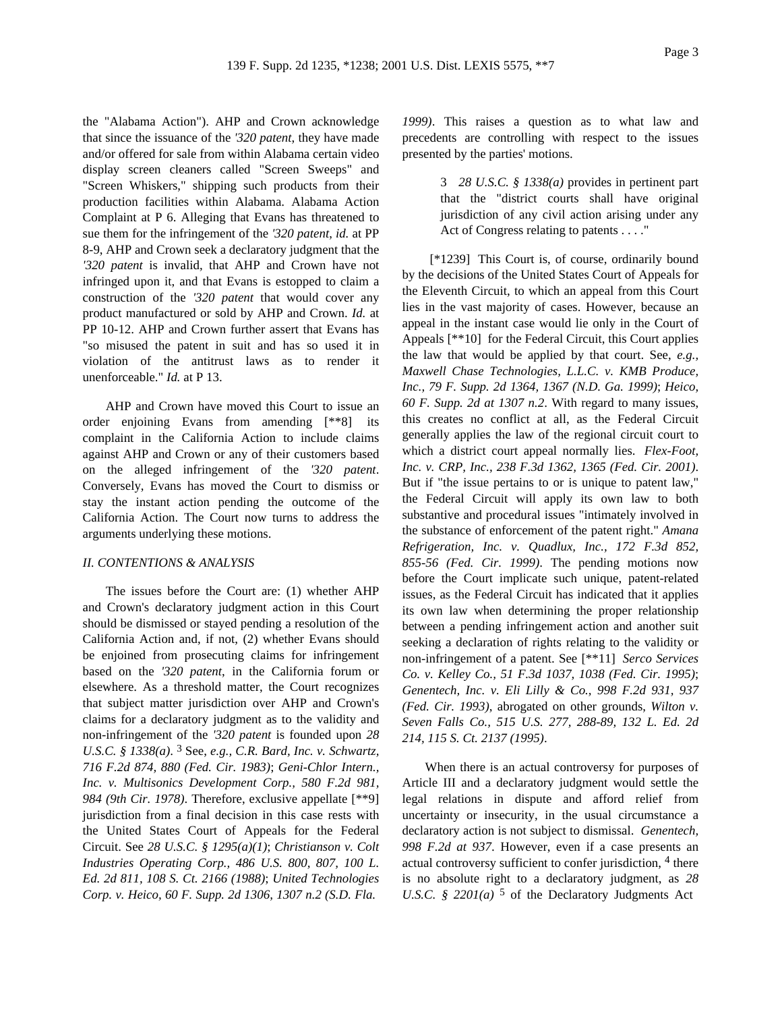the "Alabama Action"). AHP and Crown acknowledge that since the issuance of the *'320 patent*, they have made and/or offered for sale from within Alabama certain video display screen cleaners called "Screen Sweeps" and "Screen Whiskers," shipping such products from their production facilities within Alabama. Alabama Action Complaint at P 6. Alleging that Evans has threatened to sue them for the infringement of the *'320 patent*, *id.* at PP 8-9, AHP and Crown seek a declaratory judgment that the *'320 patent* is invalid, that AHP and Crown have not infringed upon it, and that Evans is estopped to claim a construction of the *'320 patent* that would cover any product manufactured or sold by AHP and Crown. *Id.* at PP 10-12. AHP and Crown further assert that Evans has "so misused the patent in suit and has so used it in violation of the antitrust laws as to render it unenforceable." *Id.* at P 13.

AHP and Crown have moved this Court to issue an order enjoining Evans from amending [\*\*8] its complaint in the California Action to include claims against AHP and Crown or any of their customers based on the alleged infringement of the *'320 patent*. Conversely, Evans has moved the Court to dismiss or stay the instant action pending the outcome of the California Action. The Court now turns to address the arguments underlying these motions.

### *II. CONTENTIONS & ANALYSIS*

The issues before the Court are: (1) whether AHP and Crown's declaratory judgment action in this Court should be dismissed or stayed pending a resolution of the California Action and, if not, (2) whether Evans should be enjoined from prosecuting claims for infringement based on the *'320 patent*, in the California forum or elsewhere. As a threshold matter, the Court recognizes that subject matter jurisdiction over AHP and Crown's claims for a declaratory judgment as to the validity and non-infringement of the *'320 patent* is founded upon *28 U.S.C. § 1338(a)*. 3 See, *e.g., C.R. Bard, Inc. v. Schwartz, 716 F.2d 874, 880 (Fed. Cir. 1983)*; *Geni-Chlor Intern., Inc. v. Multisonics Development Corp., 580 F.2d 981, 984 (9th Cir. 1978)*. Therefore, exclusive appellate [\*\*9] jurisdiction from a final decision in this case rests with the United States Court of Appeals for the Federal Circuit. See *28 U.S.C. § 1295(a)(1)*; *Christianson v. Colt Industries Operating Corp., 486 U.S. 800, 807, 100 L. Ed. 2d 811, 108 S. Ct. 2166 (1988)*; *United Technologies Corp. v. Heico, 60 F. Supp. 2d 1306, 1307 n.2 (S.D. Fla.*

*1999)*. This raises a question as to what law and precedents are controlling with respect to the issues presented by the parties' motions.

> 3 *28 U.S.C. § 1338(a)* provides in pertinent part that the "district courts shall have original jurisdiction of any civil action arising under any Act of Congress relating to patents . . . ."

[\*1239] This Court is, of course, ordinarily bound by the decisions of the United States Court of Appeals for the Eleventh Circuit, to which an appeal from this Court lies in the vast majority of cases. However, because an appeal in the instant case would lie only in the Court of Appeals [\*\*10] for the Federal Circuit, this Court applies the law that would be applied by that court. See, *e.g., Maxwell Chase Technologies, L.L.C. v. KMB Produce, Inc., 79 F. Supp. 2d 1364, 1367 (N.D. Ga. 1999)*; *Heico, 60 F. Supp. 2d at 1307 n.2*. With regard to many issues, this creates no conflict at all, as the Federal Circuit generally applies the law of the regional circuit court to which a district court appeal normally lies. *Flex-Foot, Inc. v. CRP, Inc., 238 F.3d 1362, 1365 (Fed. Cir. 2001)*. But if "the issue pertains to or is unique to patent law," the Federal Circuit will apply its own law to both substantive and procedural issues "intimately involved in the substance of enforcement of the patent right." *Amana Refrigeration, Inc. v. Quadlux, Inc., 172 F.3d 852, 855-56 (Fed. Cir. 1999)*. The pending motions now before the Court implicate such unique, patent-related issues, as the Federal Circuit has indicated that it applies its own law when determining the proper relationship between a pending infringement action and another suit seeking a declaration of rights relating to the validity or non-infringement of a patent. See [\*\*11] *Serco Services Co. v. Kelley Co., 51 F.3d 1037, 1038 (Fed. Cir. 1995)*; *Genentech, Inc. v. Eli Lilly & Co., 998 F.2d 931, 937 (Fed. Cir. 1993)*, abrogated on other grounds, *Wilton v. Seven Falls Co., 515 U.S. 277, 288-89, 132 L. Ed. 2d 214, 115 S. Ct. 2137 (1995)*.

When there is an actual controversy for purposes of Article III and a declaratory judgment would settle the legal relations in dispute and afford relief from uncertainty or insecurity, in the usual circumstance a declaratory action is not subject to dismissal. *Genentech, 998 F.2d at 937*. However, even if a case presents an actual controversy sufficient to confer jurisdiction, <sup>4</sup> there is no absolute right to a declaratory judgment, as *28 U.S.C.* § 2201(*a*)<sup> $5$ </sup> of the Declaratory Judgments Act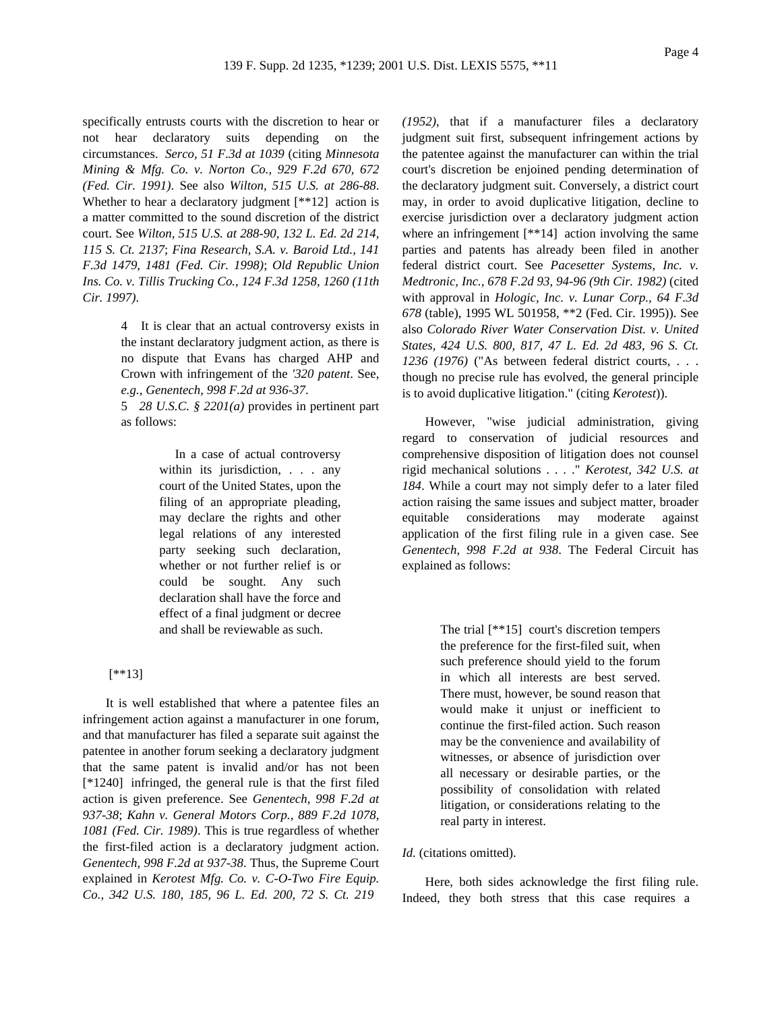Page 4

specifically entrusts courts with the discretion to hear or not hear declaratory suits depending on the circumstances. *Serco, 51 F.3d at 1039* (citing *Minnesota Mining & Mfg. Co. v. Norton Co., 929 F.2d 670, 672 (Fed. Cir. 1991)*. See also *Wilton, 515 U.S. at 286-88*. Whether to hear a declaratory judgment [\*\*12] action is a matter committed to the sound discretion of the district court. See *Wilton, 515 U.S. at 288-90, 132 L. Ed. 2d 214, 115 S. Ct. 2137*; *Fina Research, S.A. v. Baroid Ltd., 141 F.3d 1479, 1481 (Fed. Cir. 1998)*; *Old Republic Union Ins. Co. v. Tillis Trucking Co., 124 F.3d 1258, 1260 (11th Cir. 1997)*.

> 4 It is clear that an actual controversy exists in the instant declaratory judgment action, as there is no dispute that Evans has charged AHP and Crown with infringement of the *'320 patent*. See, *e.g., Genentech, 998 F.2d at 936-37*.

> 5 *28 U.S.C. § 2201(a)* provides in pertinent part as follows:

> > In a case of actual controversy within its jurisdiction, . . . any court of the United States, upon the filing of an appropriate pleading, may declare the rights and other legal relations of any interested party seeking such declaration, whether or not further relief is or could be sought. Any such declaration shall have the force and effect of a final judgment or decree and shall be reviewable as such.

# [\*\*13]

It is well established that where a patentee files an infringement action against a manufacturer in one forum, and that manufacturer has filed a separate suit against the patentee in another forum seeking a declaratory judgment that the same patent is invalid and/or has not been [\*1240] infringed, the general rule is that the first filed action is given preference. See *Genentech, 998 F.2d at 937-38*; *Kahn v. General Motors Corp., 889 F.2d 1078, 1081 (Fed. Cir. 1989)*. This is true regardless of whether the first-filed action is a declaratory judgment action. *Genentech, 998 F.2d at 937-38*. Thus, the Supreme Court explained in *Kerotest Mfg. Co. v. C-O-Two Fire Equip. Co., 342 U.S. 180, 185, 96 L. Ed. 200, 72 S. Ct. 219*

*(1952)*, that if a manufacturer files a declaratory judgment suit first, subsequent infringement actions by the patentee against the manufacturer can within the trial court's discretion be enjoined pending determination of the declaratory judgment suit. Conversely, a district court may, in order to avoid duplicative litigation, decline to exercise jurisdiction over a declaratory judgment action where an infringement  $[**14]$  action involving the same parties and patents has already been filed in another federal district court. See *Pacesetter Systems, Inc. v. Medtronic, Inc., 678 F.2d 93, 94-96 (9th Cir. 1982)* (cited with approval in *Hologic, Inc. v. Lunar Corp., 64 F.3d 678* (table), 1995 WL 501958, \*\*2 (Fed. Cir. 1995)). See also *Colorado River Water Conservation Dist. v. United States, 424 U.S. 800, 817, 47 L. Ed. 2d 483, 96 S. Ct. 1236 (1976)* ("As between federal district courts, . . . though no precise rule has evolved, the general principle is to avoid duplicative litigation." (citing *Kerotest*)).

However, "wise judicial administration, giving regard to conservation of judicial resources and comprehensive disposition of litigation does not counsel rigid mechanical solutions . . . ." *Kerotest, 342 U.S. at 184*. While a court may not simply defer to a later filed action raising the same issues and subject matter, broader equitable considerations may moderate against application of the first filing rule in a given case. See *Genentech, 998 F.2d at 938*. The Federal Circuit has explained as follows:

> The trial [\*\*15] court's discretion tempers the preference for the first-filed suit, when such preference should yield to the forum in which all interests are best served. There must, however, be sound reason that would make it unjust or inefficient to continue the first-filed action. Such reason may be the convenience and availability of witnesses, or absence of jurisdiction over all necessary or desirable parties, or the possibility of consolidation with related litigation, or considerations relating to the real party in interest.

# *Id.* (citations omitted).

Here, both sides acknowledge the first filing rule. Indeed, they both stress that this case requires a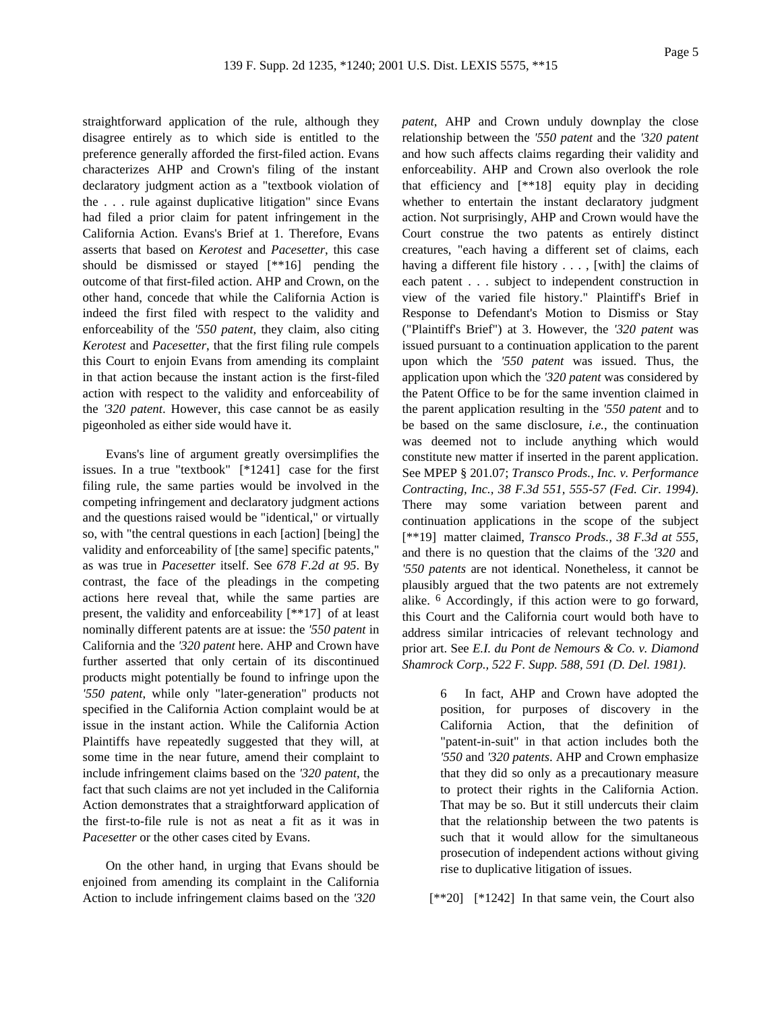straightforward application of the rule, although they disagree entirely as to which side is entitled to the preference generally afforded the first-filed action. Evans characterizes AHP and Crown's filing of the instant declaratory judgment action as a "textbook violation of the . . . rule against duplicative litigation" since Evans had filed a prior claim for patent infringement in the California Action. Evans's Brief at 1. Therefore, Evans asserts that based on *Kerotest* and *Pacesetter*, this case should be dismissed or stayed [\*\*16] pending the outcome of that first-filed action. AHP and Crown, on the other hand, concede that while the California Action is indeed the first filed with respect to the validity and enforceability of the *'550 patent*, they claim, also citing *Kerotest* and *Pacesetter*, that the first filing rule compels this Court to enjoin Evans from amending its complaint in that action because the instant action is the first-filed action with respect to the validity and enforceability of the *'320 patent*. However, this case cannot be as easily pigeonholed as either side would have it.

Evans's line of argument greatly oversimplifies the issues. In a true "textbook" [\*1241] case for the first filing rule, the same parties would be involved in the competing infringement and declaratory judgment actions and the questions raised would be "identical," or virtually so, with "the central questions in each [action] [being] the validity and enforceability of [the same] specific patents," as was true in *Pacesetter* itself. See *678 F.2d at 95*. By contrast, the face of the pleadings in the competing actions here reveal that, while the same parties are present, the validity and enforceability [\*\*17] of at least nominally different patents are at issue: the *'550 patent* in California and the *'320 patent* here. AHP and Crown have further asserted that only certain of its discontinued products might potentially be found to infringe upon the *'550 patent*, while only "later-generation" products not specified in the California Action complaint would be at issue in the instant action. While the California Action Plaintiffs have repeatedly suggested that they will, at some time in the near future, amend their complaint to include infringement claims based on the *'320 patent*, the fact that such claims are not yet included in the California Action demonstrates that a straightforward application of the first-to-file rule is not as neat a fit as it was in *Pacesetter* or the other cases cited by Evans.

On the other hand, in urging that Evans should be enjoined from amending its complaint in the California Action to include infringement claims based on the *'320*

*patent*, AHP and Crown unduly downplay the close relationship between the *'550 patent* and the *'320 patent* and how such affects claims regarding their validity and enforceability. AHP and Crown also overlook the role that efficiency and [\*\*18] equity play in deciding whether to entertain the instant declaratory judgment action. Not surprisingly, AHP and Crown would have the Court construe the two patents as entirely distinct creatures, "each having a different set of claims, each having a different file history . . . , [with] the claims of each patent . . . subject to independent construction in view of the varied file history." Plaintiff's Brief in Response to Defendant's Motion to Dismiss or Stay ("Plaintiff's Brief") at 3. However, the *'320 patent* was issued pursuant to a continuation application to the parent upon which the *'550 patent* was issued. Thus, the application upon which the *'320 patent* was considered by the Patent Office to be for the same invention claimed in the parent application resulting in the *'550 patent* and to be based on the same disclosure, *i.e.*, the continuation was deemed not to include anything which would constitute new matter if inserted in the parent application. See MPEP § 201.07; *Transco Prods., Inc. v. Performance Contracting, Inc., 38 F.3d 551, 555-57 (Fed. Cir. 1994)*. There may some variation between parent and continuation applications in the scope of the subject [\*\*19] matter claimed, *Transco Prods., 38 F.3d at 555*, and there is no question that the claims of the *'320* and *'550 patents* are not identical. Nonetheless, it cannot be plausibly argued that the two patents are not extremely alike. 6 Accordingly, if this action were to go forward, this Court and the California court would both have to address similar intricacies of relevant technology and prior art. See *E.I. du Pont de Nemours & Co. v. Diamond Shamrock Corp., 522 F. Supp. 588, 591 (D. Del. 1981)*.

> 6 In fact, AHP and Crown have adopted the position, for purposes of discovery in the California Action, that the definition of "patent-in-suit" in that action includes both the *'550* and *'320 patents*. AHP and Crown emphasize that they did so only as a precautionary measure to protect their rights in the California Action. That may be so. But it still undercuts their claim that the relationship between the two patents is such that it would allow for the simultaneous prosecution of independent actions without giving rise to duplicative litigation of issues.

[\*\*20] [\*1242] In that same vein, the Court also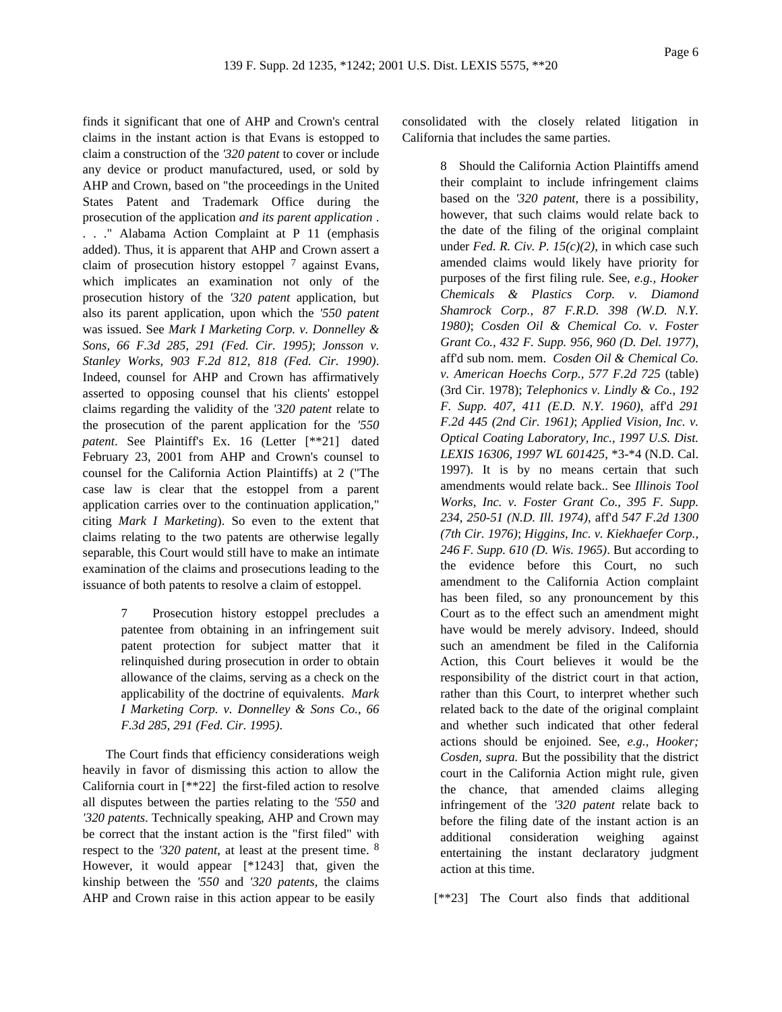finds it significant that one of AHP and Crown's central claims in the instant action is that Evans is estopped to claim a construction of the *'320 patent* to cover or include any device or product manufactured, used, or sold by AHP and Crown, based on "the proceedings in the United States Patent and Trademark Office during the prosecution of the application *and its parent application* . . . ." Alabama Action Complaint at P 11 (emphasis added). Thus, it is apparent that AHP and Crown assert a claim of prosecution history estoppel  $<sup>7</sup>$  against Evans,</sup> which implicates an examination not only of the prosecution history of the *'320 patent* application, but also its parent application, upon which the *'550 patent* was issued. See *Mark I Marketing Corp. v. Donnelley & Sons, 66 F.3d 285, 291 (Fed. Cir. 1995)*; *Jonsson v. Stanley Works, 903 F.2d 812, 818 (Fed. Cir. 1990)*. Indeed, counsel for AHP and Crown has affirmatively asserted to opposing counsel that his clients' estoppel claims regarding the validity of the *'320 patent* relate to the prosecution of the parent application for the *'550 patent*. See Plaintiff's Ex. 16 (Letter [\*\*21] dated February 23, 2001 from AHP and Crown's counsel to counsel for the California Action Plaintiffs) at 2 ("The case law is clear that the estoppel from a parent application carries over to the continuation application," citing *Mark I Marketing*). So even to the extent that claims relating to the two patents are otherwise legally separable, this Court would still have to make an intimate examination of the claims and prosecutions leading to the issuance of both patents to resolve a claim of estoppel.

> Prosecution history estoppel precludes a patentee from obtaining in an infringement suit patent protection for subject matter that it relinquished during prosecution in order to obtain allowance of the claims, serving as a check on the applicability of the doctrine of equivalents. *Mark I Marketing Corp. v. Donnelley & Sons Co., 66 F.3d 285, 291 (Fed. Cir. 1995)*.

The Court finds that efficiency considerations weigh heavily in favor of dismissing this action to allow the California court in [\*\*22] the first-filed action to resolve all disputes between the parties relating to the *'550* and *'320 patents*. Technically speaking, AHP and Crown may be correct that the instant action is the "first filed" with respect to the *'320 patent*, at least at the present time. 8 However, it would appear [\*1243] that, given the kinship between the *'550* and *'320 patents*, the claims AHP and Crown raise in this action appear to be easily

consolidated with the closely related litigation in California that includes the same parties.

> 8 Should the California Action Plaintiffs amend their complaint to include infringement claims based on the *'320 patent*, there is a possibility, however, that such claims would relate back to the date of the filing of the original complaint under *Fed. R. Civ. P. 15(c)(2)*, in which case such amended claims would likely have priority for purposes of the first filing rule. See, *e.g., Hooker Chemicals & Plastics Corp. v. Diamond Shamrock Corp., 87 F.R.D. 398 (W.D. N.Y. 1980)*; *Cosden Oil & Chemical Co. v. Foster Grant Co., 432 F. Supp. 956, 960 (D. Del. 1977)*, aff'd sub nom. mem. *Cosden Oil & Chemical Co. v. American Hoechs Corp., 577 F.2d 725* (table) (3rd Cir. 1978); *Telephonics v. Lindly & Co., 192 F. Supp. 407, 411 (E.D. N.Y. 1960)*, aff'd *291 F.2d 445 (2nd Cir. 1961)*; *Applied Vision, Inc. v. Optical Coating Laboratory, Inc., 1997 U.S. Dist. LEXIS 16306, 1997 WL 601425*, \*3-\*4 (N.D. Cal. 1997). It is by no means certain that such amendments would relate back.. See *Illinois Tool Works, Inc. v. Foster Grant Co., 395 F. Supp. 234, 250-51 (N.D. Ill. 1974)*, aff'd *547 F.2d 1300 (7th Cir. 1976)*; *Higgins, Inc. v. Kiekhaefer Corp., 246 F. Supp. 610 (D. Wis. 1965)*. But according to the evidence before this Court, no such amendment to the California Action complaint has been filed, so any pronouncement by this Court as to the effect such an amendment might have would be merely advisory. Indeed, should such an amendment be filed in the California Action, this Court believes it would be the responsibility of the district court in that action, rather than this Court, to interpret whether such related back to the date of the original complaint and whether such indicated that other federal actions should be enjoined. See, *e.g., Hooker; Cosden, supra.* But the possibility that the district court in the California Action might rule, given the chance, that amended claims alleging infringement of the *'320 patent* relate back to before the filing date of the instant action is an additional consideration weighing against entertaining the instant declaratory judgment action at this time.

[\*\*23] The Court also finds that additional